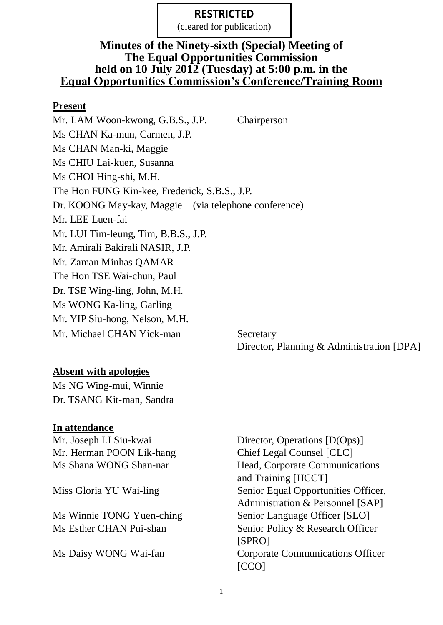(cleared for publication)

#### **Minutes of the Ninety-sixth (Special) Meeting of The Equal Opportunities Commission held on 10 July 2012 (Tuesday) at 5:00 p.m. in the Equal Opportunities Commission's Conference/Training Room**

#### **Present**

Mr. LAM Woon-kwong, G.B.S., J.P. Chairperson Ms CHAN Ka-mun, Carmen, J.P. Ms CHAN Man-ki, Maggie Ms CHIU Lai-kuen, Susanna Ms CHOI Hing-shi, M.H. The Hon FUNG Kin-kee, Frederick, S.B.S., J.P. Dr. KOONG May-kay, Maggie (via telephone conference) Mr. LEE Luen-fai Mr. LUI Tim-leung, Tim, B.B.S., J.P. Mr. Amirali Bakirali NASIR, J.P. Mr. Zaman Minhas QAMAR The Hon TSE Wai-chun, Paul Dr. TSE Wing-ling, John, M.H. Ms WONG Ka-ling, Garling Mr. YIP Siu-hong, Nelson, M.H. Mr. Michael CHAN Yick-man Secretary

#### **Absent with apologies**

Ms NG Wing-mui, Winnie Dr. TSANG Kit-man, Sandra

#### **In attendance**

Mr. Herman POON Lik-hang Chief Legal Counsel [CLC]

Mr. Joseph LI Siu-kwai Director, Operations [D(Ops)] Ms Shana WONG Shan-nar Head, Corporate Communications and Training [HCCT] Miss Gloria YU Wai-ling Senior Equal Opportunities Officer, Administration & Personnel [SAP] Ms Winnie TONG Yuen-ching Senior Language Officer [SLO] Ms Esther CHAN Pui-shan Senior Policy & Research Officer [SPRO] Ms Daisy WONG Wai-fan Corporate Communications Officer [CCO]

Director, Planning & Administration [DPA]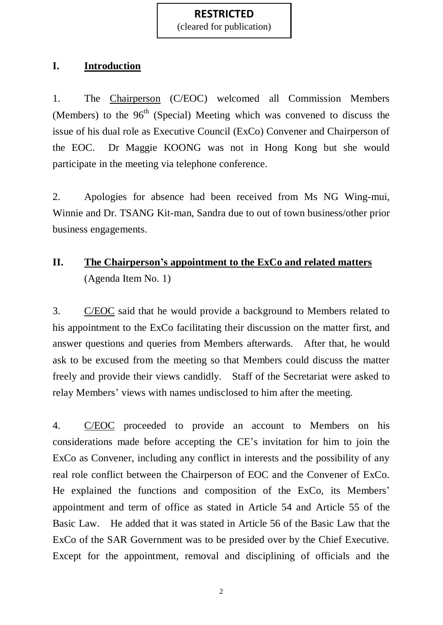(cleared for publication)

#### **I. Introduction**

1. The Chairperson (C/EOC) welcomed all Commission Members (Members) to the  $96<sup>th</sup>$  (Special) Meeting which was convened to discuss the issue of his dual role as Executive Council (ExCo) Convener and Chairperson of the EOC. Dr Maggie KOONG was not in Hong Kong but she would participate in the meeting via telephone conference.

2. Apologies for absence had been received from Ms NG Wing-mui, Winnie and Dr. TSANG Kit-man, Sandra due to out of town business/other prior business engagements.

# **II. The Chairperson's appointment to the ExCo and related matters** (Agenda Item No. 1)

3. C/EOC said that he would provide a background to Members related to his appointment to the ExCo facilitating their discussion on the matter first, and answer questions and queries from Members afterwards. After that, he would ask to be excused from the meeting so that Members could discuss the matter freely and provide their views candidly. Staff of the Secretariat were asked to relay Members' views with names undisclosed to him after the meeting.

4. C/EOC proceeded to provide an account to Members on his considerations made before accepting the CE's invitation for him to join the ExCo as Convener, including any conflict in interests and the possibility of any real role conflict between the Chairperson of EOC and the Convener of ExCo. He explained the functions and composition of the ExCo, its Members' appointment and term of office as stated in Article 54 and Article 55 of the Basic Law. He added that it was stated in Article 56 of the Basic Law that the ExCo of the SAR Government was to be presided over by the Chief Executive. Except for the appointment, removal and disciplining of officials and the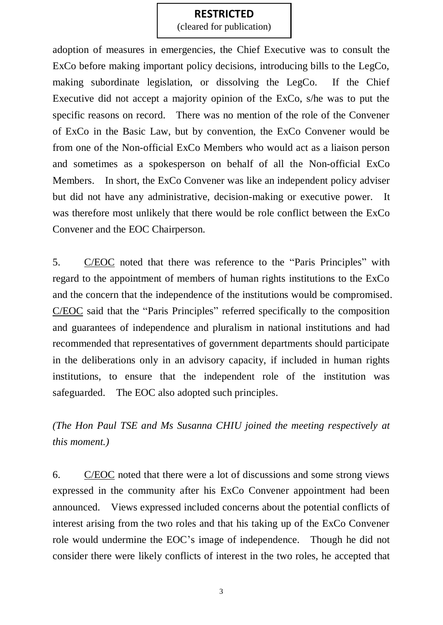(cleared for publication)

adoption of measures in emergencies, the Chief Executive was to consult the ExCo before making important policy decisions, introducing bills to the LegCo, making subordinate legislation, or dissolving the LegCo. If the Chief Executive did not accept a majority opinion of the ExCo, s/he was to put the specific reasons on record. There was no mention of the role of the Convener of ExCo in the Basic Law, but by convention, the ExCo Convener would be from one of the Non-official ExCo Members who would act as a liaison person and sometimes as a spokesperson on behalf of all the Non-official ExCo Members. In short, the ExCo Convener was like an independent policy adviser but did not have any administrative, decision-making or executive power. It was therefore most unlikely that there would be role conflict between the ExCo Convener and the EOC Chairperson.

5. C/EOC noted that there was reference to the "Paris Principles" with regard to the appointment of members of human rights institutions to the ExCo and the concern that the independence of the institutions would be compromised. C/EOC said that the "Paris Principles" referred specifically to the composition and guarantees of independence and pluralism in national institutions and had recommended that representatives of government departments should participate in the deliberations only in an advisory capacity, if included in human rights institutions, to ensure that the independent role of the institution was safeguarded. The EOC also adopted such principles.

*(The Hon Paul TSE and Ms Susanna CHIU joined the meeting respectively at this moment.)*

6. C/EOC noted that there were a lot of discussions and some strong views expressed in the community after his ExCo Convener appointment had been announced. Views expressed included concerns about the potential conflicts of interest arising from the two roles and that his taking up of the ExCo Convener role would undermine the EOC's image of independence. Though he did not consider there were likely conflicts of interest in the two roles, he accepted that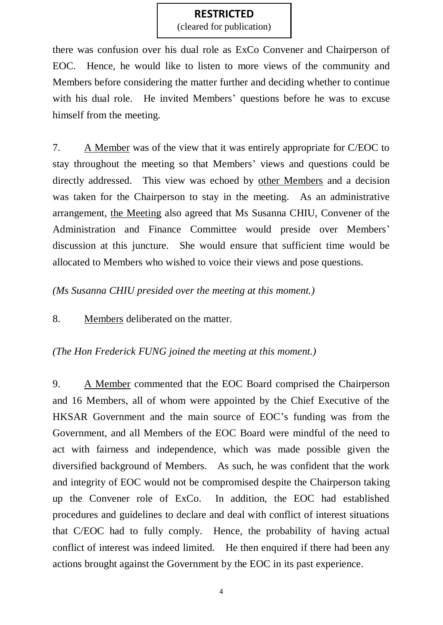(cleared for publication)

there was confusion over his dual role as ExCo Convener and Chairperson of EOC. Hence, he would like to listen to more views of the community and Members before considering the matter further and deciding whether to continue with his dual role. He invited Members' questions before he was to excuse himself from the meeting.

7. A Member was of the view that it was entirely appropriate for C/EOC to stay throughout the meeting so that Members' views and questions could be directly addressed. This view was echoed by other Members and a decision was taken for the Chairperson to stay in the meeting. As an administrative arrangement, the Meeting also agreed that Ms Susanna CHIU, Convener of the Administration and Finance Committee would preside over Members' discussion at this juncture. She would ensure that sufficient time would be allocated to Members who wished to voice their views and pose questions.

*(Ms Susanna CHIU presided over the meeting at this moment.)*

8. Members deliberated on the matter.

## *(The Hon Frederick FUNG joined the meeting at this moment.)*

9. A Member commented that the EOC Board comprised the Chairperson and 16 Members, all of whom were appointed by the Chief Executive of the HKSAR Government and the main source of EOC's funding was from the Government, and all Members of the EOC Board were mindful of the need to act with fairness and independence, which was made possible given the diversified background of Members. As such, he was confident that the work and integrity of EOC would not be compromised despite the Chairperson taking up the Convener role of ExCo. In addition, the EOC had established procedures and guidelines to declare and deal with conflict of interest situations that C/EOC had to fully comply. Hence, the probability of having actual conflict of interest was indeed limited. He then enquired if there had been any actions brought against the Government by the EOC in its past experience.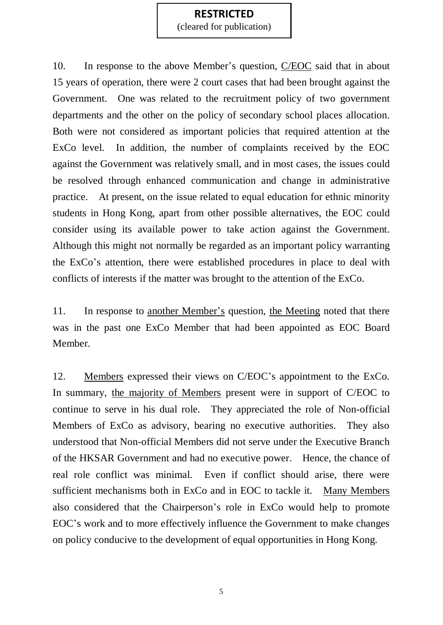(cleared for publication)

10. In response to the above Member's question, C/EOC said that in about 15 years of operation, there were 2 court cases that had been brought against the Government. One was related to the recruitment policy of two government departments and the other on the policy of secondary school places allocation. Both were not considered as important policies that required attention at the ExCo level. In addition, the number of complaints received by the EOC against the Government was relatively small, and in most cases, the issues could be resolved through enhanced communication and change in administrative practice. At present, on the issue related to equal education for ethnic minority students in Hong Kong, apart from other possible alternatives, the EOC could consider using its available power to take action against the Government. Although this might not normally be regarded as an important policy warranting the ExCo's attention, there were established procedures in place to deal with conflicts of interests if the matter was brought to the attention of the ExCo.

11. In response to another Member's question, the Meeting noted that there was in the past one ExCo Member that had been appointed as EOC Board Member.

12. Members expressed their views on C/EOC's appointment to the ExCo. In summary, the majority of Members present were in support of C/EOC to continue to serve in his dual role. They appreciated the role of Non-official Members of ExCo as advisory, bearing no executive authorities. They also understood that Non-official Members did not serve under the Executive Branch of the HKSAR Government and had no executive power. Hence, the chance of real role conflict was minimal. Even if conflict should arise, there were sufficient mechanisms both in ExCo and in EOC to tackle it. Many Members also considered that the Chairperson's role in ExCo would help to promote EOC's work and to more effectively influence the Government to make changes on policy conducive to the development of equal opportunities in Hong Kong.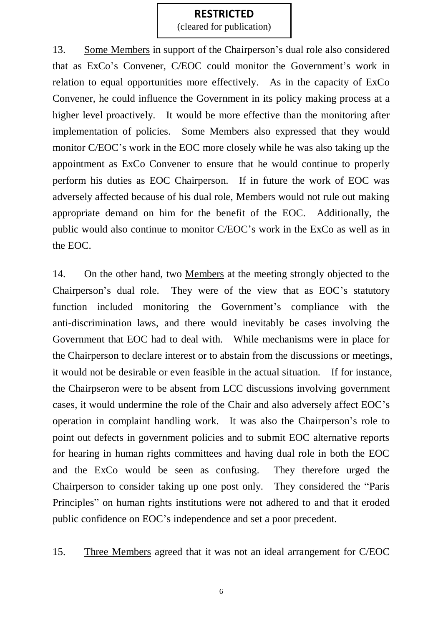(cleared for publication)

13. Some Members in support of the Chairperson's dual role also considered that as ExCo's Convener, C/EOC could monitor the Government's work in relation to equal opportunities more effectively. As in the capacity of ExCo Convener, he could influence the Government in its policy making process at a higher level proactively. It would be more effective than the monitoring after implementation of policies. Some Members also expressed that they would monitor C/EOC's work in the EOC more closely while he was also taking up the appointment as ExCo Convener to ensure that he would continue to properly perform his duties as EOC Chairperson. If in future the work of EOC was adversely affected because of his dual role, Members would not rule out making appropriate demand on him for the benefit of the EOC. Additionally, the public would also continue to monitor C/EOC's work in the ExCo as well as in the EOC.

14. On the other hand, two Members at the meeting strongly objected to the Chairperson's dual role. They were of the view that as EOC's statutory function included monitoring the Government's compliance with the anti-discrimination laws, and there would inevitably be cases involving the Government that EOC had to deal with. While mechanisms were in place for the Chairperson to declare interest or to abstain from the discussions or meetings, it would not be desirable or even feasible in the actual situation. If for instance, the Chairpseron were to be absent from LCC discussions involving government cases, it would undermine the role of the Chair and also adversely affect EOC's operation in complaint handling work. It was also the Chairperson's role to point out defects in government policies and to submit EOC alternative reports for hearing in human rights committees and having dual role in both the EOC and the ExCo would be seen as confusing. They therefore urged the Chairperson to consider taking up one post only. They considered the "Paris Principles" on human rights institutions were not adhered to and that it eroded public confidence on EOC's independence and set a poor precedent.

15. Three Members agreed that it was not an ideal arrangement for C/EOC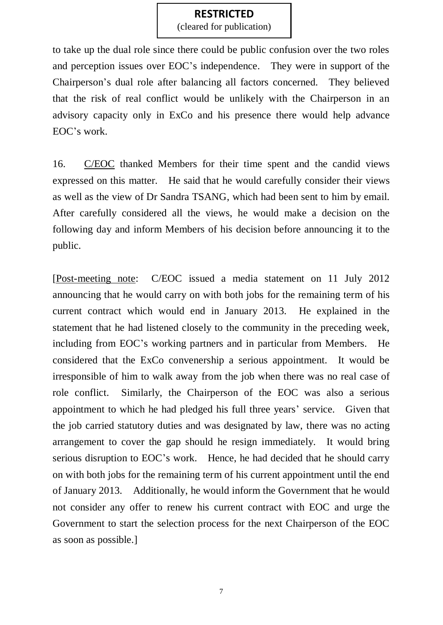(cleared for publication)

to take up the dual role since there could be public confusion over the two roles and perception issues over EOC's independence. They were in support of the Chairperson's dual role after balancing all factors concerned. They believed that the risk of real conflict would be unlikely with the Chairperson in an advisory capacity only in ExCo and his presence there would help advance EOC's work.

16. C/EOC thanked Members for their time spent and the candid views expressed on this matter. He said that he would carefully consider their views as well as the view of Dr Sandra TSANG, which had been sent to him by email. After carefully considered all the views, he would make a decision on the following day and inform Members of his decision before announcing it to the public.

[Post-meeting note: C/EOC issued a media statement on 11 July 2012 announcing that he would carry on with both jobs for the remaining term of his current contract which would end in January 2013. He explained in the statement that he had listened closely to the community in the preceding week, including from EOC's working partners and in particular from Members. He considered that the ExCo convenership a serious appointment. It would be irresponsible of him to walk away from the job when there was no real case of role conflict. Similarly, the Chairperson of the EOC was also a serious appointment to which he had pledged his full three years' service. Given that the job carried statutory duties and was designated by law, there was no acting arrangement to cover the gap should he resign immediately. It would bring serious disruption to EOC's work. Hence, he had decided that he should carry on with both jobs for the remaining term of his current appointment until the end of January 2013. Additionally, he would inform the Government that he would not consider any offer to renew his current contract with EOC and urge the Government to start the selection process for the next Chairperson of the EOC as soon as possible.]